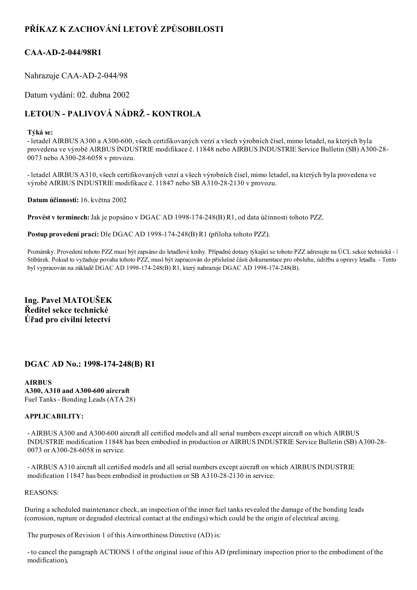## PŘÍKAZ K ZACHOVÁNÍ LETOVÉ ZPŮSOBILOSTI

### CAA-AD-2-044/98R1

Nahrazuje CAA-AD-2-044/98

Datum vydání: 02. dubna 2002

# LETOUN - PALIVOVÁ NÁDRŽ - KONTROLA

#### Týká se:

- letadel AIRBUS A300 a A300-600, všech certifikovaných verzí a všech výrobních čísel, mimo letadel, na kterých byla provedena ve výrobě AIRBUS INDUSTRIE modifikace č. 11848 nebo AIRBUS INDUSTRIE Service Bulletin (SB) A30028 0073 nebo A300-28-6058 v provozu.

 letadel AIRBUS A310, všech certifikovaných verzí a všech výrobních čísel, mimo letadel, na kterých byla provedena ve výrobě AIRBUS INDUSTRIE modifikace č. 11847 nebo SB A310282130 v provozu.

Datum účinnosti: 16. května 2002

Provést v termínech: Jak je popsáno v DGAC AD 1998-174-248(B) R1, od data účinnosti tohoto PZZ.

Postup provedení prací: Dle DGAC AD 1998-174-248(B) R1 (příloha tohoto PZZ).

Poznámky: Provedení tohoto PZZ musí být zapsáno do letadlové knihy. Případné dotazy týkající se tohoto PZZ adresujte na ÚCL sekce technická - l Stibůrek. Pokud to vyžaduje povaha tohoto PZZ, musí být zapracován do příslušné části dokumentace pro obsluhu, údržbu a opravy letadla. - Tento byl vypracován na základě DGAC AD 1998-174-248(B) R1, který nahrazuje DGAC AD 1998-174-248(B).

Ing. Pavel MATOUŠEK Ředitel sekce technické Úřad pro civilní letectví

### DGAC AD No.: 1998-174-248(B) R1

AIRBUS A300, A310 and A300-600 aircraft Fuel Tanks - Bonding Leads (ATA 28)

#### APPLICABILITY:

- AIRBUS A300 and A300-600 aircraft all certified models and all serial numbers except aircraft on which AIRBUS INDUSTRIE modification 11848 has been embodied in production or AIRBUS INDUSTRIE Service Bulletin (SB) A30028 0073 or A300-28-6058 in service.

 AIRBUS A310 aircraft all certified models and all serial numbers except aircraft on which AIRBUS INDUSTRIE modification 11847 has been embodied in production or SB A310-28-2130 in service.

#### REASONS:

During a scheduled maintenance check, an inspection of the inner fuel tanks revealed the damage of the bonding leads (corrosion, rupture or degraded electrical contact at the endings) which could be the origin of electrical arcing.

The purposes of Revision 1 of this Airworthiness Directive (AD) is:

 to cancel the paragraph ACTIONS 1 of the original issue of this AD (preliminary inspection prior to the embodiment of the modification),